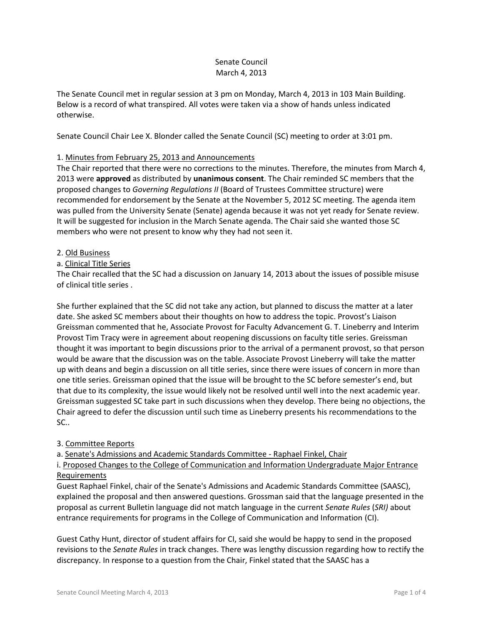## Senate Council March 4, 2013

The Senate Council met in regular session at 3 pm on Monday, March 4, 2013 in 103 Main Building. Below is a record of what transpired. All votes were taken via a show of hands unless indicated otherwise.

Senate Council Chair Lee X. Blonder called the Senate Council (SC) meeting to order at 3:01 pm.

# 1. Minutes from February 25, 2013 and Announcements

The Chair reported that there were no corrections to the minutes. Therefore, the minutes from March 4, 2013 were **approved** as distributed by **unanimous consent**. The Chair reminded SC members that the proposed changes to *Governing Regulations II* (Board of Trustees Committee structure) were recommended for endorsement by the Senate at the November 5, 2012 SC meeting. The agenda item was pulled from the University Senate (Senate) agenda because it was not yet ready for Senate review. It will be suggested for inclusion in the March Senate agenda. The Chair said she wanted those SC members who were not present to know why they had not seen it.

## 2. Old Business

## a. Clinical Title Series

The Chair recalled that the SC had a discussion on January 14, 2013 about the issues of possible misuse of clinical title series .

She further explained that the SC did not take any action, but planned to discuss the matter at a later date. She asked SC members about their thoughts on how to address the topic. Provost's Liaison Greissman commented that he, Associate Provost for Faculty Advancement G. T. Lineberry and Interim Provost Tim Tracy were in agreement about reopening discussions on faculty title series. Greissman thought it was important to begin discussions prior to the arrival of a permanent provost, so that person would be aware that the discussion was on the table. Associate Provost Lineberry will take the matter up with deans and begin a discussion on all title series, since there were issues of concern in more than one title series. Greissman opined that the issue will be brought to the SC before semester's end, but that due to its complexity, the issue would likely not be resolved until well into the next academic year. Greissman suggested SC take part in such discussions when they develop. There being no objections, the Chair agreed to defer the discussion until such time as Lineberry presents his recommendations to the SC..

## 3. Committee Reports

a. Senate's Admissions and Academic Standards Committee - Raphael Finkel, Chair

i. Proposed Changes to the College of Communication and Information Undergraduate Major Entrance Requirements

Guest Raphael Finkel, chair of the Senate's Admissions and Academic Standards Committee (SAASC), explained the proposal and then answered questions. Grossman said that the language presented in the proposal as current Bulletin language did not match language in the current *Senate Rules* (*SRI)* about entrance requirements for programs in the College of Communication and Information (CI).

Guest Cathy Hunt, director of student affairs for CI, said she would be happy to send in the proposed revisions to the *Senate Rules* in track changes. There was lengthy discussion regarding how to rectify the discrepancy. In response to a question from the Chair, Finkel stated that the SAASC has a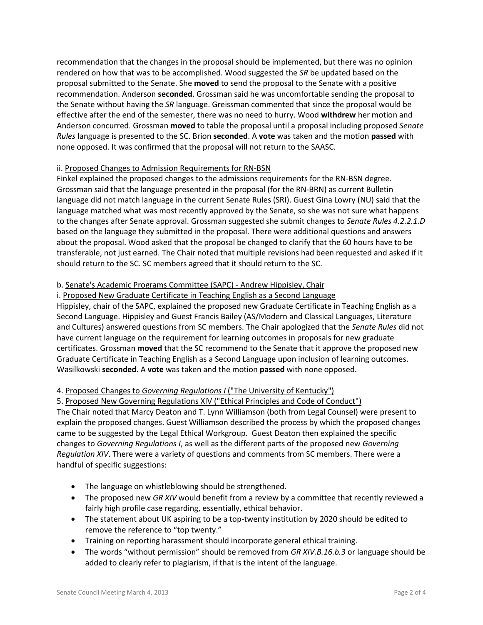recommendation that the changes in the proposal should be implemented, but there was no opinion rendered on how that was to be accomplished. Wood suggested the *SR* be updated based on the proposal submitted to the Senate. She **moved** to send the proposal to the Senate with a positive recommendation. Anderson **seconded**. Grossman said he was uncomfortable sending the proposal to the Senate without having the *SR* language. Greissman commented that since the proposal would be effective after the end of the semester, there was no need to hurry. Wood **withdrew** her motion and Anderson concurred. Grossman **moved** to table the proposal until a proposal including proposed *Senate Rules* language is presented to the SC. Brion **seconded**. A **vote** was taken and the motion **passed** with none opposed. It was confirmed that the proposal will not return to the SAASC.

## ii. Proposed Changes to Admission Requirements for RN-BSN

Finkel explained the proposed changes to the admissions requirements for the RN-BSN degree. Grossman said that the language presented in the proposal (for the RN-BRN) as current Bulletin language did not match language in the current Senate Rules (SRI). Guest Gina Lowry (NU) said that the language matched what was most recently approved by the Senate, so she was not sure what happens to the changes after Senate approval. Grossman suggested she submit changes to *Senate Rules 4.2.2.1.D* based on the language they submitted in the proposal. There were additional questions and answers about the proposal. Wood asked that the proposal be changed to clarify that the 60 hours have to be transferable, not just earned. The Chair noted that multiple revisions had been requested and asked if it should return to the SC. SC members agreed that it should return to the SC.

# b. Senate's Academic Programs Committee (SAPC) - Andrew Hippisley, Chair

## i. Proposed New Graduate Certificate in Teaching English as a Second Language

Hippisley, chair of the SAPC, explained the proposed new Graduate Certificate in Teaching English as a Second Language. Hippisley and Guest Francis Bailey (AS/Modern and Classical Languages, Literature and Cultures) answered questions from SC members. The Chair apologized that the *Senate Rules* did not have current language on the requirement for learning outcomes in proposals for new graduate certificates. Grossman **moved** that the SC recommend to the Senate that it approve the proposed new Graduate Certificate in Teaching English as a Second Language upon inclusion of learning outcomes. Wasilkowski **seconded**. A **vote** was taken and the motion **passed** with none opposed.

## 4. Proposed Changes to *Governing Regulations I* ("The University of Kentucky")

5. Proposed New Governing Regulations XIV ("Ethical Principles and Code of Conduct")

The Chair noted that Marcy Deaton and T. Lynn Williamson (both from Legal Counsel) were present to explain the proposed changes. Guest Williamson described the process by which the proposed changes came to be suggested by the Legal Ethical Workgroup. Guest Deaton then explained the specific changes to *Governing Regulations I*, as well as the different parts of the proposed new *Governing Regulation XIV*. There were a variety of questions and comments from SC members. There were a handful of specific suggestions:

- The language on whistleblowing should be strengthened.
- The proposed new *GR XIV* would benefit from a review by a committee that recently reviewed a fairly high profile case regarding, essentially, ethical behavior.
- The statement about UK aspiring to be a top-twenty institution by 2020 should be edited to remove the reference to "top twenty."
- Training on reporting harassment should incorporate general ethical training.
- The words "without permission" should be removed from *GR XIV.B.16.b.3* or language should be added to clearly refer to plagiarism, if that is the intent of the language.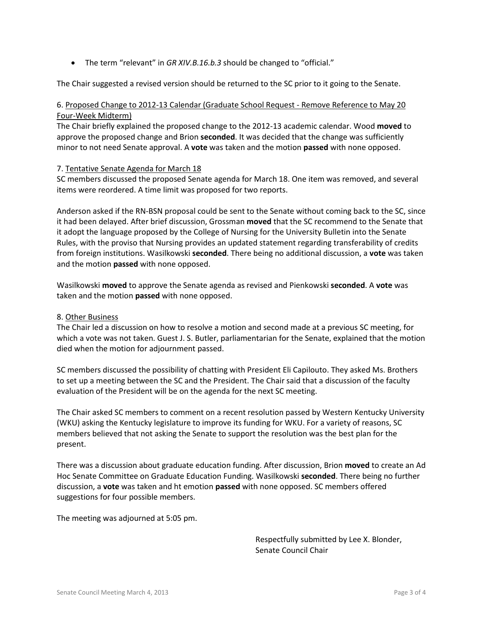The term "relevant" in *GR XIV.B.16.b.3* should be changed to "official."

The Chair suggested a revised version should be returned to the SC prior to it going to the Senate.

# 6. Proposed Change to 2012-13 Calendar (Graduate School Request - Remove Reference to May 20 Four-Week Midterm)

The Chair briefly explained the proposed change to the 2012-13 academic calendar. Wood **moved** to approve the proposed change and Brion **seconded**. It was decided that the change was sufficiently minor to not need Senate approval. A **vote** was taken and the motion **passed** with none opposed.

#### 7. Tentative Senate Agenda for March 18

SC members discussed the proposed Senate agenda for March 18. One item was removed, and several items were reordered. A time limit was proposed for two reports.

Anderson asked if the RN-BSN proposal could be sent to the Senate without coming back to the SC, since it had been delayed. After brief discussion, Grossman **moved** that the SC recommend to the Senate that it adopt the language proposed by the College of Nursing for the University Bulletin into the Senate Rules, with the proviso that Nursing provides an updated statement regarding transferability of credits from foreign institutions. Wasilkowski **seconded**. There being no additional discussion, a **vote** was taken and the motion **passed** with none opposed.

Wasilkowski **moved** to approve the Senate agenda as revised and Pienkowski **seconded**. A **vote** was taken and the motion **passed** with none opposed.

#### 8. Other Business

The Chair led a discussion on how to resolve a motion and second made at a previous SC meeting, for which a vote was not taken. Guest J. S. Butler, parliamentarian for the Senate, explained that the motion died when the motion for adjournment passed.

SC members discussed the possibility of chatting with President Eli Capilouto. They asked Ms. Brothers to set up a meeting between the SC and the President. The Chair said that a discussion of the faculty evaluation of the President will be on the agenda for the next SC meeting.

The Chair asked SC members to comment on a recent resolution passed by Western Kentucky University (WKU) asking the Kentucky legislature to improve its funding for WKU. For a variety of reasons, SC members believed that not asking the Senate to support the resolution was the best plan for the present.

There was a discussion about graduate education funding. After discussion, Brion **moved** to create an Ad Hoc Senate Committee on Graduate Education Funding. Wasilkowski **seconded**. There being no further discussion, a **vote** was taken and ht emotion **passed** with none opposed. SC members offered suggestions for four possible members.

The meeting was adjourned at 5:05 pm.

Respectfully submitted by Lee X. Blonder, Senate Council Chair